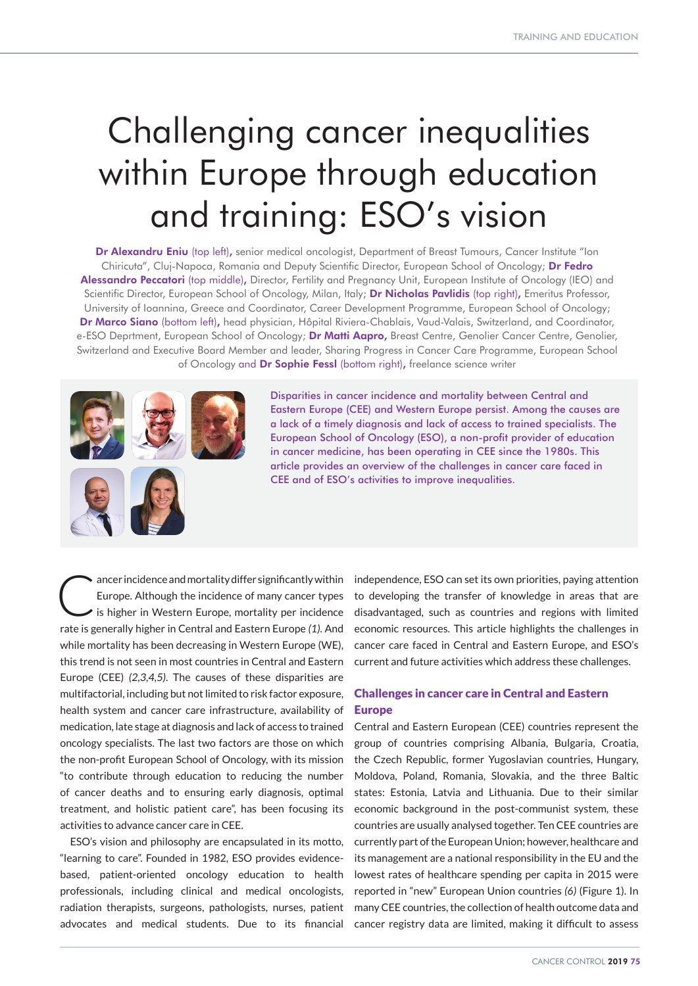# Challenging cancer inequalities within Europe through education and training: ESO's vision

Dr Alexandru Eniu (top left), senior medical oncologist, Department of Breast Tumours, Cancer Institute "Ion Chiricuta", Cluj-Napoca, Romania and Deputy Scientific Director, European School of Oncology; Dr Fedro Alessandro Peccatori (top middle), Director, Fertility and Pregnancy Unit, European Institute of Oncology (IEO) and Scientific Director, European School of Oncology, Milan, Italy; Dr Nicholas Pavlidis (top right), Emeritus Professor, University of Ioannina, Greece and Coordinator, Career Development Programme, European School of Oncology; Dr Marco Siano (bottom left), head physician, Hôpital Riviera-Chablais, Vaud-Valais, Switzerland, and Coordinator, e-ESO Deprtment, European School of Oncology; Dr Matti Aapro, Breast Centre, Genolier Cancer Centre, Genolier, Switzerland and Executive Board Member and leader, Sharing Progress in Cancer Care Programme, European School of Oncology and Dr Sophie Fessl (bottom right), freelance science writer



Disparities in cancer incidence and mortality between Central and Eastern Europe (CEE) and Western Europe persist. Among the causes are a lack of a timely diagnosis and lack of access to trained specialists. The European School of Oncology (ESO), a non-profit provider of education in cancer medicine, has been operating in CEE since the 1980s. This article provides an overview of the challenges in cancer care faced in CEE and of ESO's activities to improve inequalities.

ancer incidence and mortality differ significantly within<br>Europe. Although the incidence of many cancer types<br>is higher in Western Europe, mortality per incidence Europe. Although the incidence of many cancer types is higher in Western Europe, mortality per incidence rate is generally higher in Central and Eastern Europe *(1)*. And while mortality has been decreasing in Western Europe (WE), this trend is not seen in most countries in Central and Eastern Europe (CEE) *(2,3,4,5)*. The causes of these disparities are multifactorial, including but not limited to risk factor exposure, health system and cancer care infrastructure, availability of medication, late stage at diagnosis and lack of access to trained oncology specialists. The last two factors are those on which the non-profit European School of Oncology, with its mission "to contribute through education to reducing the number of cancer deaths and to ensuring early diagnosis, optimal treatment, and holistic patient care", has been focusing its activities to advance cancer care in CEE.

ESO's vision and philosophy are encapsulated in its motto, "learning to care". Founded in 1982, ESO provides evidencebased, patient-oriented oncology education to health professionals, including clinical and medical oncologists, radiation therapists, surgeons, pathologists, nurses, patient advocates and medical students. Due to its financial

independence, ESO can set its own priorities, paying attention to developing the transfer of knowledge in areas that are disadvantaged, such as countries and regions with limited economic resources. This article highlights the challenges in cancer care faced in Central and Eastern Europe, and ESO's current and future activities which address these challenges.

## Challenges in cancer care in Central and Eastern Europe

Central and Eastern European (CEE) countries represent the group of countries comprising Albania, Bulgaria, Croatia, the Czech Republic, former Yugoslavian countries, Hungary, Moldova, Poland, Romania, Slovakia, and the three Baltic states: Estonia, Latvia and Lithuania. Due to their similar economic background in the post-communist system, these countries are usually analysed together. Ten CEE countries are currently part of the European Union; however, healthcare and its management are a national responsibility in the EU and the lowest rates of healthcare spending per capita in 2015 were reported in "new" European Union countries *(6)* (Figure 1). In many CEE countries, the collection of health outcome data and cancer registry data are limited, making it difficult to assess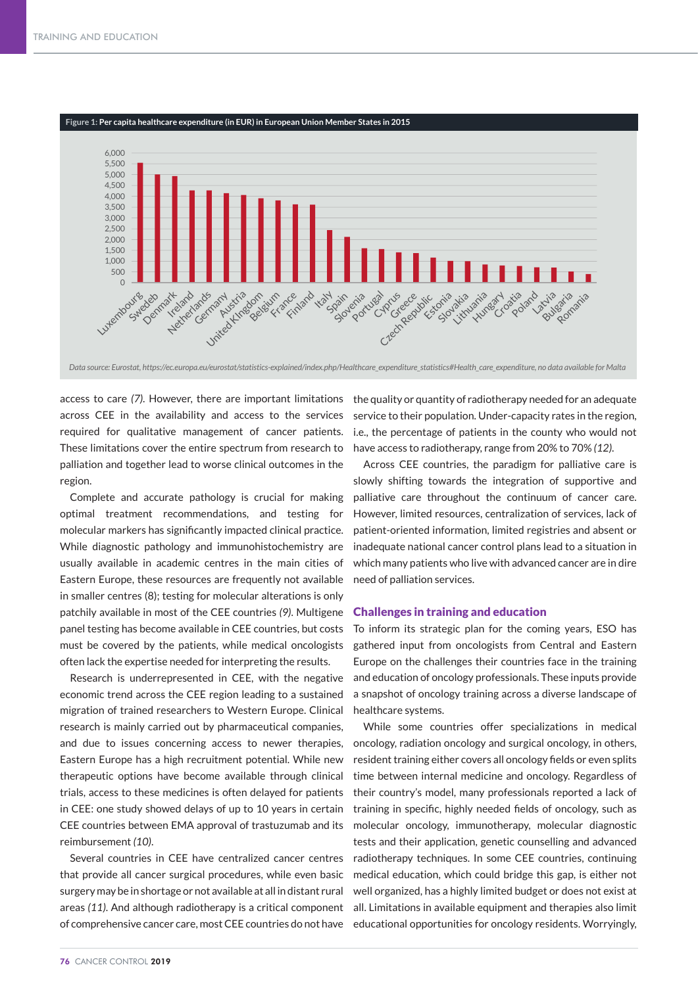

*Data source: Eurostat, https://ec.europa.eu/eurostat/statistics-explained/index.php/Healthcare\_expenditure\_statistics#Health\_care\_expenditure, no data available for Malta*

access to care *(7)*. However, there are important limitations across CEE in the availability and access to the services required for qualitative management of cancer patients. These limitations cover the entire spectrum from research to palliation and together lead to worse clinical outcomes in the region.

Complete and accurate pathology is crucial for making optimal treatment recommendations, and testing for molecular markers has significantly impacted clinical practice. While diagnostic pathology and immunohistochemistry are usually available in academic centres in the main cities of Eastern Europe, these resources are frequently not available in smaller centres (8); testing for molecular alterations is only patchily available in most of the CEE countries *(9)*. Multigene panel testing has become available in CEE countries, but costs must be covered by the patients, while medical oncologists ga often lack the expertise needed for interpreting the results.

Research is underrepresented in CEE, with the negative economic trend across the CEE region leading to a sustained migration of trained researchers to Western Europe. Clinical research is mainly carried out by pharmaceutical companies, and due to issues concerning access to newer therapies, Eastern Europe has a high recruitment potential. While new therapeutic options have become available through clinical trials, access to these medicines is often delayed for patients in CEE: one study showed delays of up to 10 years in certain CEE countries between EMA approval of trastuzumab and its reimbursement *(10)*.

Several countries in CEE have centralized cancer centres that provide all cancer surgical procedures, while even basic surgery may be in shortage or not available at all in distant rural areas *(11)*. And although radiotherapy is a critical component of comprehensive cancer care, most CEE countries do not have

the quality or quantity of radiotherapy needed for an adequate service to their population. Under-capacity rates in the region, i.e., the percentage of patients in the county who would not have access to radiotherapy, range from 20% to 70% *(12)*.

Across CEE countries, the paradigm for palliative care is slowly shifting towards the integration of supportive and palliative care throughout the continuum of cancer care. However, limited resources, centralization of services, lack of patient-oriented information, limited registries and absent or inadequate national cancer control plans lead to a situation in *Russia* which many patients who live with advanced cancer are in dire *Estonia* need of palliation services. *Latvia*

### Challenges in training and education

To inform its strategic plan for the coming years, ESO has gathered input from oncologists from Central and Eastern Europe on the challenges their countries face in the training and education of oncology professionals. These inputs provide a snapshot of oncology training across a diverse landscape of *Bulgaria Bosnia-Hertegovina* healthcare systems.

While some countries offer specializations in medical oncology, radiation oncology and surgical oncology, in others, resident training either covers all oncology fields or even splits time between internal medicine and oncology. Regardless of their country's model, many professionals reported a lack of training in specific, highly needed fields of oncology, such as molecular oncology, immunotherapy, molecular diagnostic tests and their application, genetic counselling and advanced radiotherapy techniques. In some CEE countries, continuing medical education, which could bridge this gap, is either not well organized, has a highly limited budget or does not exist at all. Limitations in available equipment and therapies also limit educational opportunities for oncology residents. Worryingly,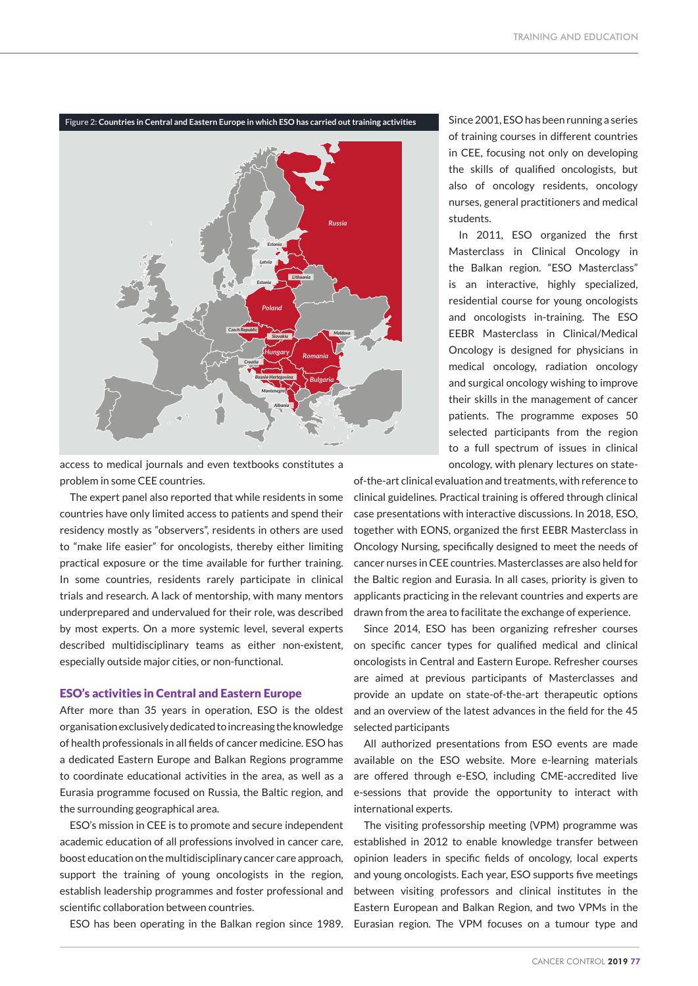

access to medical journals and even textbooks constitutes a problem in some CEE countries.

The expert panel also reported that while residents in some countries have only limited access to patients and spend their residency mostly as "observers", residents in others are used to "make life easier" for oncologists, thereby either limiting practical exposure or the time available for further training. In some countries, residents rarely participate in clinical trials and research. A lack of mentorship, with many mentors underprepared and undervalued for their role, was described by most experts. On a more systemic level, several experts described multidisciplinary teams as either non-existent, especially outside major cities, or non-functional.

#### ESO's activities in Central and Eastern Europe

After more than 35 years in operation, ESO is the oldest organisation exclusively dedicated to increasing the knowledge of health professionals in all fields of cancer medicine. ESO has a dedicated Eastern Europe and Balkan Regions programme to coordinate educational activities in the area, as well as a Eurasia programme focused on Russia, the Baltic region, and the surrounding geographical area.

ESO's mission in CEE is to promote and secure independent academic education of all professions involved in cancer care, boost education on the multidisciplinary cancer care approach, support the training of young oncologists in the region, establish leadership programmes and foster professional and scientific collaboration between countries.

Since 2001, ESO has been running a series of training courses in different countries in CEE, focusing not only on developing the skills of qualified oncologists, but also of oncology residents, oncology nurses, general practitioners and medical students.

In 2011, ESO organized the first Masterclass in Clinical Oncology in the Balkan region. "ESO Masterclass" is an interactive, highly specialized, residential course for young oncologists and oncologists in-training. The ESO EEBR Masterclass in Clinical/Medical Oncology is designed for physicians in medical oncology, radiation oncology and surgical oncology wishing to improve their skills in the management of cancer patients. The programme exposes 50 selected participants from the region to a full spectrum of issues in clinical oncology, with plenary lectures on state-

of-the-art clinical evaluation and treatments, with reference to clinical guidelines. Practical training is offered through clinical case presentations with interactive discussions. In 2018, ESO, together with EONS, organized the first EEBR Masterclass in Oncology Nursing, specifically designed to meet the needs of cancer nurses in CEE countries. Masterclasses are also held for the Baltic region and Eurasia. In all cases, priority is given to applicants practicing in the relevant countries and experts are drawn from the area to facilitate the exchange of experience.

Since 2014, ESO has been organizing refresher courses on specific cancer types for qualified medical and clinical oncologists in Central and Eastern Europe. Refresher courses are aimed at previous participants of Masterclasses and provide an update on state-of-the-art therapeutic options and an overview of the latest advances in the field for the 45 selected participants

All authorized presentations from ESO events are made available on the ESO website. More e-learning materials are offered through e-ESO, including CME-accredited live e-sessions that provide the opportunity to interact with international experts.

ESO has been operating in the Balkan region since 1989. Eurasian region. The VPM focuses on a tumour type and The visiting professorship meeting (VPM) programme was established in 2012 to enable knowledge transfer between opinion leaders in specific fields of oncology, local experts and young oncologists. Each year, ESO supports five meetings between visiting professors and clinical institutes in the Eastern European and Balkan Region, and two VPMs in the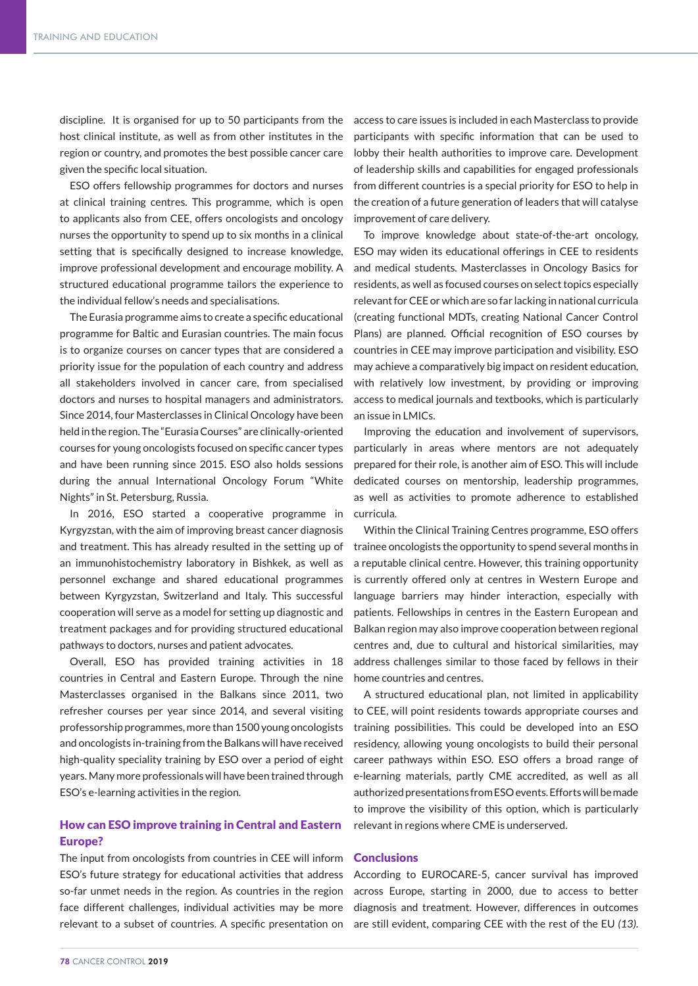discipline. It is organised for up to 50 participants from the host clinical institute, as well as from other institutes in the region or country, and promotes the best possible cancer care given the specific local situation.

ESO offers fellowship programmes for doctors and nurses at clinical training centres. This programme, which is open to applicants also from CEE, offers oncologists and oncology nurses the opportunity to spend up to six months in a clinical setting that is specifically designed to increase knowledge, improve professional development and encourage mobility. A structured educational programme tailors the experience to the individual fellow's needs and specialisations.

The Eurasia programme aims to create a specific educational programme for Baltic and Eurasian countries. The main focus is to organize courses on cancer types that are considered a priority issue for the population of each country and address all stakeholders involved in cancer care, from specialised doctors and nurses to hospital managers and administrators. Since 2014, four Masterclasses in Clinical Oncology have been held in the region. The "Eurasia Courses" are clinically-oriented courses for young oncologists focused on specific cancer types and have been running since 2015. ESO also holds sessions during the annual International Oncology Forum "White Nights" in St. Petersburg, Russia.

In 2016, ESO started a cooperative programme in Kyrgyzstan, with the aim of improving breast cancer diagnosis and treatment. This has already resulted in the setting up of an immunohistochemistry laboratory in Bishkek, as well as personnel exchange and shared educational programmes between Kyrgyzstan, Switzerland and Italy. This successful cooperation will serve as a model for setting up diagnostic and treatment packages and for providing structured educational pathways to doctors, nurses and patient advocates.

Overall, ESO has provided training activities in 18 countries in Central and Eastern Europe. Through the nine Masterclasses organised in the Balkans since 2011, two refresher courses per year since 2014, and several visiting professorship programmes, more than 1500 young oncologists and oncologists in-training from the Balkans will have received high-quality speciality training by ESO over a period of eight years. Many more professionals will have been trained through ESO's e-learning activities in the region.

## How can ESO improve training in Central and Eastern Europe?

The input from oncologists from countries in CEE will inform ESO's future strategy for educational activities that address so-far unmet needs in the region. As countries in the region face different challenges, individual activities may be more relevant to a subset of countries. A specific presentation on access to care issues is included in each Masterclass to provide participants with specific information that can be used to lobby their health authorities to improve care. Development of leadership skills and capabilities for engaged professionals from different countries is a special priority for ESO to help in the creation of a future generation of leaders that will catalyse improvement of care delivery.

To improve knowledge about state-of-the-art oncology, ESO may widen its educational offerings in CEE to residents and medical students. Masterclasses in Oncology Basics for residents, as well as focused courses on select topics especially relevant for CEE or which are so far lacking in national curricula (creating functional MDTs, creating National Cancer Control Plans) are planned. Official recognition of ESO courses by countries in CEE may improve participation and visibility. ESO may achieve a comparatively big impact on resident education, with relatively low investment, by providing or improving access to medical journals and textbooks, which is particularly an issue in LMICs.

Improving the education and involvement of supervisors, particularly in areas where mentors are not adequately prepared for their role, is another aim of ESO. This will include dedicated courses on mentorship, leadership programmes, as well as activities to promote adherence to established curricula.

Within the Clinical Training Centres programme, ESO offers trainee oncologists the opportunity to spend several months in a reputable clinical centre. However, this training opportunity is currently offered only at centres in Western Europe and language barriers may hinder interaction, especially with patients. Fellowships in centres in the Eastern European and Balkan region may also improve cooperation between regional centres and, due to cultural and historical similarities, may address challenges similar to those faced by fellows in their home countries and centres.

A structured educational plan, not limited in applicability to CEE, will point residents towards appropriate courses and training possibilities. This could be developed into an ESO residency, allowing young oncologists to build their personal career pathways within ESO. ESO offers a broad range of e-learning materials, partly CME accredited, as well as all authorized presentations from ESO events. Efforts will be made to improve the visibility of this option, which is particularly relevant in regions where CME is underserved.

#### **Conclusions**

According to EUROCARE-5, cancer survival has improved across Europe, starting in 2000, due to access to better diagnosis and treatment. However, differences in outcomes are still evident, comparing CEE with the rest of the EU *(13)*.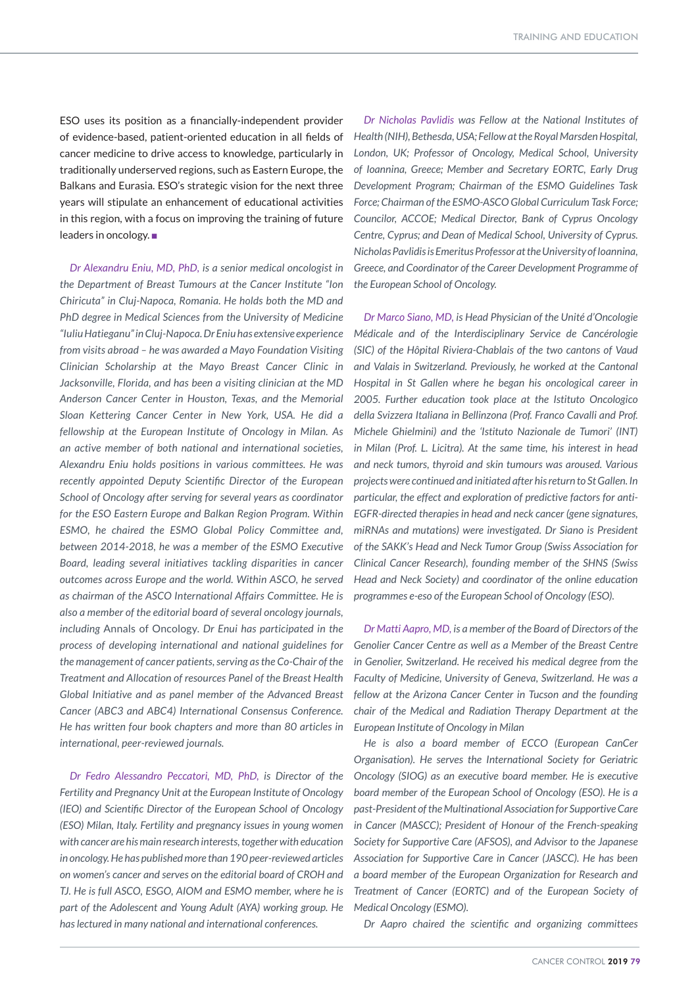ESO uses its position as a financially-independent provider of evidence-based, patient-oriented education in all fields of cancer medicine to drive access to knowledge, particularly in traditionally underserved regions, such as Eastern Europe, the Balkans and Eurasia. ESO's strategic vision for the next three years will stipulate an enhancement of educational activities in this region, with a focus on improving the training of future leaders in oncology.  $\blacksquare$ 

*Dr Alexandru Eniu, MD, PhD, is a senior medical oncologist in the Department of Breast Tumours at the Cancer Institute "Ion Chiricuta" in Cluj-Napoca, Romania. He holds both the MD and PhD degree in Medical Sciences from the University of Medicine "Iuliu Hatieganu" in Cluj-Napoca. Dr Eniu has extensive experience from visits abroad – he was awarded a Mayo Foundation Visiting Clinician Scholarship at the Mayo Breast Cancer Clinic in Jacksonville, Florida, and has been a visiting clinician at the MD Anderson Cancer Center in Houston, Texas, and the Memorial Sloan Kettering Cancer Center in New York, USA. He did a fellowship at the European Institute of Oncology in Milan. As an active member of both national and international societies, Alexandru Eniu holds positions in various committees. He was recently appointed Deputy Scientific Director of the European School of Oncology after serving for several years as coordinator for the ESO Eastern Europe and Balkan Region Program. Within ESMO, he chaired the ESMO Global Policy Committee and, between 2014-2018, he was a member of the ESMO Executive Board, leading several initiatives tackling disparities in cancer outcomes across Europe and the world. Within ASCO, he served as chairman of the ASCO International Affairs Committee. He is also a member of the editorial board of several oncology journals, including* Annals of Oncology*. Dr Enui has participated in the process of developing international and national guidelines for the management of cancer patients, serving as the Co-Chair of the Treatment and Allocation of resources Panel of the Breast Health Global Initiative and as panel member of the Advanced Breast Cancer (ABC3 and ABC4) International Consensus Conference. He has written four book chapters and more than 80 articles in international, peer-reviewed journals.*

*Dr Fedro Alessandro Peccatori, MD, PhD, is Director of the Fertility and Pregnancy Unit at the European Institute of Oncology (IEO) and Scientific Director of the European School of Oncology (ESO) Milan, Italy. Fertility and pregnancy issues in young women with cancer are his main research interests, together with education in oncology. He has published more than 190 peer-reviewed articles on women's cancer and serves on the editorial board of CROH and TJ. He is full ASCO, ESGO, AIOM and ESMO member, where he is part of the Adolescent and Young Adult (AYA) working group. He has lectured in many national and international conferences.*

*Dr Nicholas Pavlidis was Fellow at the National Institutes of Health (NIH), Bethesda, USA; Fellow at the Royal Marsden Hospital, London, UK; Professor of Oncology, Medical School, University of Ioannina, Greece; Member and Secretary EORTC, Early Drug Development Program; Chairman of the ESMO Guidelines Task Force; Chairman of the ESMO-ASCO Global Curriculum Task Force; Councilor, ACCOE; Medical Director, Bank of Cyprus Oncology Centre, Cyprus; and Dean of Medical School, University of Cyprus. Nicholas Pavlidis is Emeritus Professor at the University of Ioannina, Greece, and Coordinator of the Career Development Programme of the European School of Oncology.* 

*Dr Marco Siano, MD, is Head Physician of the Unité d'Oncologie Médicale and of the Interdisciplinary Service de Cancérologie (SIC) of the Hôpital Riviera-Chablais of the two cantons of Vaud and Valais in Switzerland. Previously, he worked at the Cantonal Hospital in St Gallen where he began his oncological career in 2005. Further education took place at the Istituto Oncologico della Svizzera Italiana in Bellinzona (Prof. Franco Cavalli and Prof. Michele Ghielmini) and the 'Istituto Nazionale de Tumori' (INT) in Milan (Prof. L. Licitra). At the same time, his interest in head and neck tumors, thyroid and skin tumours was aroused. Various projects were continued and initiated after his return to St Gallen. In particular, the effect and exploration of predictive factors for anti-EGFR-directed therapies in head and neck cancer (gene signatures, miRNAs and mutations) were investigated. Dr Siano is President of the SAKK's Head and Neck Tumor Group (Swiss Association for Clinical Cancer Research), founding member of the SHNS (Swiss Head and Neck Society) and coordinator of the online education programmes e-eso of the European School of Oncology (ESO).*

*Dr Matti Aapro, MD, is a member of the Board of Directors of the Genolier Cancer Centre as well as a Member of the Breast Centre in Genolier, Switzerland. He received his medical degree from the Faculty of Medicine, University of Geneva, Switzerland. He was a fellow at the Arizona Cancer Center in Tucson and the founding chair of the Medical and Radiation Therapy Department at the European Institute of Oncology in Milan* 

*He is also a board member of ECCO (European CanCer Organisation). He serves the International Society for Geriatric Oncology (SIOG) as an executive board member. He is executive board member of the European School of Oncology (ESO). He is a past-President of the Multinational Association for Supportive Care in Cancer (MASCC); President of Honour of the French-speaking Society for Supportive Care (AFSOS), and Advisor to the Japanese Association for Supportive Care in Cancer (JASCC). He has been a board member of the European Organization for Research and Treatment of Cancer (EORTC) and of the European Society of Medical Oncology (ESMO).*

*Dr Aapro chaired the scientific and organizing committees*